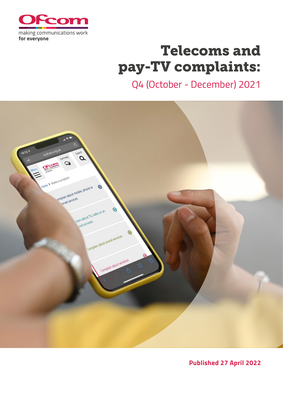

# Telecoms and pay-TV complaints:

Q4 (October - December) 2021



**Published 27 April 2022**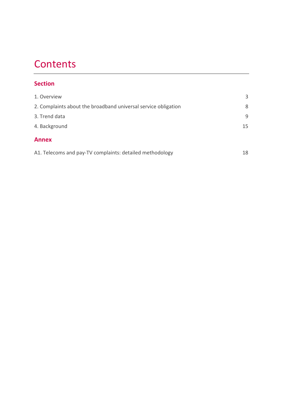# **Contents**

### **Section**

| 1. Overview                                                    | 3  |
|----------------------------------------------------------------|----|
| 2. Complaints about the broadband universal service obligation | 8  |
| 3. Trend data                                                  | 9  |
| 4. Background                                                  | 15 |
| <b>Annex</b>                                                   |    |
| A1. Telecoms and pay-TV complaints: detailed methodology       | 18 |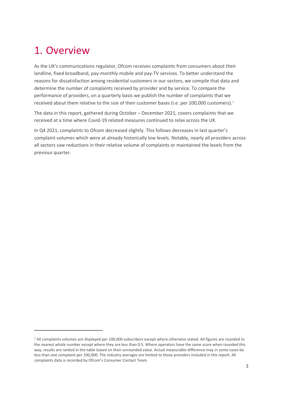# <span id="page-2-0"></span>1. Overview

As the UK's communications regulator, Ofcom receives complaints from consumers about their landline, fixed broadband, pay-monthly mobile and pay-TV services. To better understand the reasons for dissatisfaction among residential customers in our sectors, we compile that data and determine the number of complaints received by provider and by service. To compare the performance of providers, on a quarterly basis we publish the number of complaints that we received about them relative to the size of their customer bases (i.e. per [1](#page-2-1)00,000 customers).<sup>1</sup>

The data in this report, gathered during October – December 2021, covers complaints that we received at a time where Covid-19 related measures continued to relax across the UK.

In Q4 2021, complaints to Ofcom decreased slightly. This follows decreases in last quarter's complaint volumes which were at already historically low levels. Notably, nearly all providers across all sectors saw reductions in their relative volume of complaints or maintained the levels from the previous quarter.

<span id="page-2-1"></span><sup>&</sup>lt;sup>1</sup> All complaints volumes are displayed per 100,000 subscribers except where otherwise stated. All figures are rounded to the nearest whole number except where they are less than 0.5. Where operators have the same score when rounded this way, results are ranked in the table based on their unrounded value. Actual measurable difference may in some cases be less than one complaint per 100,000. The industry averages are limited to those providers included in this report. All complaints data is recorded by Ofcom's Consumer Contact Team.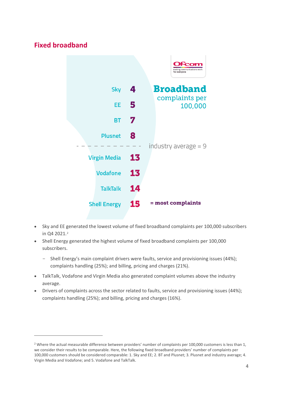# **Fixed broadband**



- Sky and EE generated the lowest volume of fixed broadband complaints per 100,000 subscribers in Q4 [2](#page-3-0)021.<sup>2</sup>
- Shell Energy generated the highest volume of fixed broadband complaints per 100,000 subscribers.
	- Shell Energy's main complaint drivers were faults, service and provisioning issues (44%); complaints handling (25%); and billing, pricing and charges (21%).
- TalkTalk, Vodafone and Virgin Media also generated complaint volumes above the industry average.
- Drivers of complaints across the sector related to faults, service and provisioning issues (44%); complaints handling (25%); and billing, pricing and charges (16%).

<span id="page-3-0"></span> $2$  Where the actual measurable difference between providers' number of complaints per 100,000 customers is less than 1, we consider their results to be comparable. Here, the following fixed broadband providers' number of complaints per 100,000 customers should be considered comparable: 1. Sky and EE; 2. BT and Plusnet; 3. Plusnet and industry average; 4. Virgin Media and Vodafone; and 5. Vodafone and TalkTalk.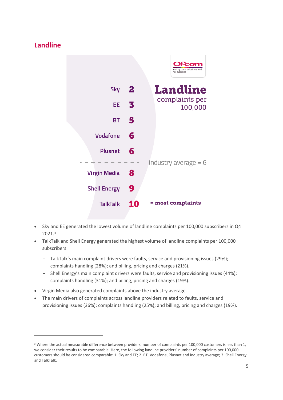# **Landline**



- Sky and EE generated the lowest volume of landline complaints per 100,000 subscribers in Q4 2021.[3](#page-4-0)
- TalkTalk and Shell Energy generated the highest volume of landline complaints per 100,000 subscribers.
	- TalkTalk's main complaint drivers were faults, service and provisioning issues (29%); complaints handling (28%); and billing, pricing and charges (21%).
	- Shell Energy's main complaint drivers were faults, service and provisioning issues (44%); complaints handling (31%); and billing, pricing and charges (19%).
- Virgin Media also generated complaints above the industry average.
- The main drivers of complaints across landline providers related to faults, service and provisioning issues (36%); complaints handling (25%); and billing, pricing and charges (19%).

<span id="page-4-0"></span><sup>&</sup>lt;sup>3</sup> Where the actual measurable difference between providers' number of complaints per 100,000 customers is less than 1, we consider their results to be comparable. Here, the following landline providers' number of complaints per 100,000 customers should be considered comparable: 1. Sky and EE; 2. BT, Vodafone, Plusnet and industry average; 3. Shell Energy and TalkTalk.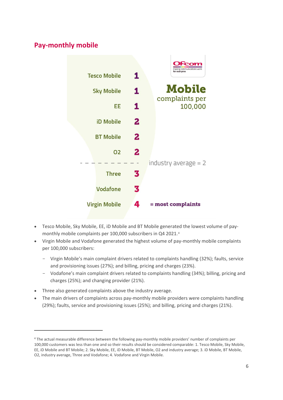# **Pay-monthly mobile**



- Tesco Mobile, Sky Mobile, EE, iD Mobile and BT Mobile generated the lowest volume of paymonthly mobile complaints per 100,000 subscribers in Q4 2021.[4](#page-5-0)
- Virgin Mobile and Vodafone generated the highest volume of pay-monthly mobile complaints per 100,000 subscribers:
	- Virgin Mobile's main complaint drivers related to complaints handling (32%); faults, service and provisioning issues (27%); and billing, pricing and charges (23%).
	- Vodafone's main complaint drivers related to complaints handling (34%); billing, pricing and charges (25%); and changing provider (21%).
- Three also generated complaints above the industry average.
- The main drivers of complaints across pay-monthly mobile providers were complaints handling (29%); faults, service and provisioning issues (25%); and billing, pricing and charges (21%).

<span id="page-5-0"></span><sup>4</sup> The actual measurable difference between the following pay-monthly mobile providers' number of complaints per 100,000 customers was less than one and so their results should be considered comparable: 1. Tesco Mobile, Sky Mobile, EE, iD Mobile and BT Mobile; 2. Sky Mobile, EE, iD Mobile, BT Mobile, O2 and industry average; 3. iD Mobile, BT Mobile, O2, industry average, Three and Vodafone; 4. Vodafone and Virgin Mobile.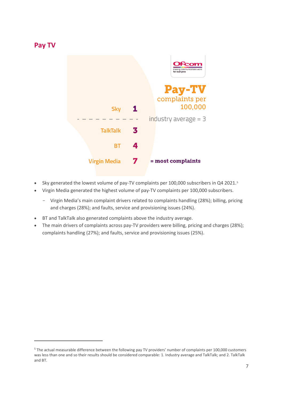#### **Pay TV**



- Sky generated the lowest volume of pay-TV complaints per 100,000 subscribers in Q4 2021.[5](#page-6-0)
- Virgin Media generated the highest volume of pay-TV complaints per 100,000 subscribers.
	- Virgin Media's main complaint drivers related to complaints handling (28%); billing, pricing and charges (28%); and faults, service and provisioning issues (24%).
- BT and TalkTalk also generated complaints above the industry average.
- The main drivers of complaints across pay-TV providers were billing, pricing and charges (28%); complaints handling (27%); and faults, service and provisioning issues (25%).

<span id="page-6-0"></span><sup>5</sup> The actual measurable difference between the following pay TV providers' number of complaints per 100,000 customers was less than one and so their results should be considered comparable: 1. Industry average and TalkTalk; and 2. TalkTalk and BT.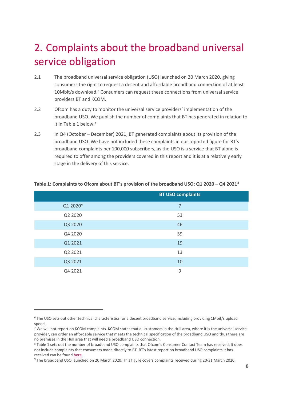# <span id="page-7-0"></span>2. Complaints about the broadband universal service obligation

- 2.1 The broadband universal service obligation (USO) launched on 20 March 2020, giving consumers the right to request a decent and affordable broadband connection of at least 10Mbit/s download.<sup>[6](#page-7-1)</sup> Consumers can request these connections from universal service providers BT and KCOM.
- 2.2 Ofcom has a duty to monitor the universal service providers' implementation of the broadband USO. We publish the number of complaints that BT has generated in relation to it in Table 1 below.[7](#page-7-2)
- 2.3 In Q4 (October December) 2021, BT generated complaints about its provision of the broadband USO. We have not included these complaints in our reported figure for BT's broadband complaints per 100,000 subscribers, as the USO is a service that BT alone is required to offer among the providers covered in this report and it is at a relatively early stage in the delivery of this service.

|                      | <b>BT USO complaints</b> |
|----------------------|--------------------------|
| Q1 2020 <sup>9</sup> | $\overline{7}$           |
| Q2 2020              | 53                       |
| Q3 2020              | 46                       |
| Q4 2020              | 59                       |
| Q1 2021              | 19                       |
| Q2 2021              | 13                       |
| Q3 2021              | 10                       |
| Q4 2021              | 9                        |

#### **Table 1: Complaints to Ofcom about BT's provision of the broadband USO: Q1 2020 – Q4 2021[8](#page-7-3)**

<span id="page-7-1"></span><sup>&</sup>lt;sup>6</sup> The USO sets out other technical characteristics for a decent broadband service, including providing 1Mbit/s upload speed.

<span id="page-7-2"></span><sup>&</sup>lt;sup>7</sup> We will not report on KCOM complaints. KCOM states that all customers in the Hull area, where it is the universal service provider, can order an affordable service that meets the technical specification of the broadband USO and thus there are no premises in the Hull area that will need a broadband USO connection.

<span id="page-7-3"></span><sup>&</sup>lt;sup>8</sup> Table 1 sets out the number of broadband USO complaints that Ofcom's Consumer Contact Team has received. It does not include complaints that consumers made directly to BT. BT's latest report on broadband USO complaints it has received can be foun[d here.](https://www.bt.com/content/dam/bt-plc/assets/documents/about-bt/policy-and-regulation/download-centre/2021/bt-report-on-progress-against-the-broadband-uso-october-2021.pdf)<br><sup>9</sup> The broadband USO launched on 20 March 2020. This figure covers complaints received during 20-31 March 2020.

<span id="page-7-4"></span>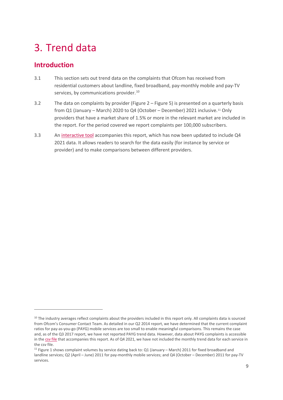# <span id="page-8-0"></span>3. Trend data

## **Introduction**

- 3.1 This section sets out trend data on the complaints that Ofcom has received from residential customers about landline, fixed broadband, pay-monthly mobile and pay-TV services, by communications provider.<sup>[10](#page-8-1)</sup>
- 3.2 The data on complaints by provider (Figure 2 Figure 5) is presented on a quarterly basis from Q1 (January – March) 2020 to Q4 (October – December) 2021 inclusive.[11](#page-8-2) Only providers that have a market share of 1.5% or more in the relevant market are included in the report. For the period covered we report complaints per 100,000 subscribers.
- 3.3 An [interactive tool](https://www.ofcom.org.uk/research-and-data/multi-sector-research/telecoms-complaints-data/telecoms-and-pay-tv-complaints-interactive-data-q4-2021) accompanies this report, which has now been updated to include Q4 2021 data. It allows readers to search for the data easily (for instance by service or provider) and to make comparisons between different providers.

<span id="page-8-1"></span> $10$  The industry averages reflect complaints about the providers included in this report only. All complaints data is sourced from Ofcom's Consumer Contact Team. As detailed in our Q2 2014 report, we have determined that the current complaint ratios for pay-as-you-go (PAYG) mobile services are too small to enable meaningful comparisons. This remains the case and, as of the Q3 2017 report, we have not reported PAYG trend data. However, data about PAYG complaints is accessible in th[e csv file](https://www.ofcom.org.uk/__data/assets/file/0031/235597/Q4-2021-Complaints-report.csv) that accompanies this report. As of Q4 2021, we have not included the monthly trend data for each service in the csv file.

<span id="page-8-2"></span><sup>&</sup>lt;sup>11</sup> Figure 1 shows complaint volumes by service dating back to: Q1 (January – March) 2011 for fixed broadband and landline services; Q2 (April – June) 2011 for pay-monthly mobile services; and Q4 (October – December) 2011 for pay-TV services.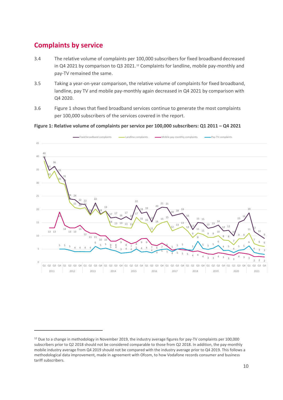# **Complaints by service**

- 3.4 The relative volume of complaints per 100,000 subscribers for fixed broadband decreased in Q4 2021 by comparison to Q3 2021.<sup>[12](#page-9-0)</sup> Complaints for landline, mobile pay-monthly and pay-TV remained the same.
- 3.5 Taking a year-on-year comparison, the relative volume of complaints for fixed broadband, landline, pay TV and mobile pay-monthly again decreased in Q4 2021 by comparison with Q4 2020.
- 3.6 Figure 1 shows that fixed broadband services continue to generate the most complaints per 100,000 subscribers of the services covered in the report.

#### **Figure 1: Relative volume of complaints per service per 100,000 subscribers: Q1 2011 – Q4 2021**



<span id="page-9-0"></span><sup>&</sup>lt;sup>12</sup> Due to a change in methodology in November 2019, the industry average figures for pay-TV complaints per 100,000 subscribers prior to Q2 2018 should not be considered comparable to those from Q2 2018. In addition, the pay-monthly mobile industry average from Q4 2019 should not be compared with the industry average prior to Q4 2019. This follows a methodological data improvement, made in agreement with Ofcom, to how Vodafone records consumer and business tariff subscribers.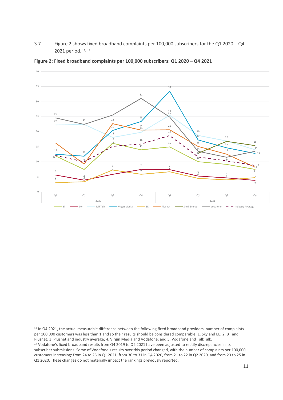3.7 Figure 2 shows fixed broadband complaints per 100,000 subscribers for the Q1 2020 – Q4 2021 period. [13](#page-10-0), [14](#page-10-1)



**Figure 2: Fixed broadband complaints per 100,000 subscribers: Q1 2020 – Q4 2021** 

<span id="page-10-0"></span><sup>&</sup>lt;sup>13</sup> In Q4 2021, the actual measurable difference between the following fixed broadband providers' number of complaints per 100,000 customers was less than 1 and so their results should be considered comparable: 1. Sky and EE; 2. BT and Plusnet; 3. Plusnet and industry average; 4. Virgin Media and Vodafone; and 5. Vodafone and TalkTalk.

<span id="page-10-1"></span><sup>&</sup>lt;sup>14</sup> Vodafone's fixed broadband results from Q4 2019 to Q2 2021 have been adjusted to rectify discrepancies in its subscriber submissions. Some of Vodafone's results over this period changed, with the number of complaints per 100,000 customers increasing: from 24 to 25 in Q1 2021, from 30 to 31 in Q4 2020, from 21 to 22 in Q2 2020, and from 23 to 25 in Q1 2020. These changes do not materially impact the rankings previously reported.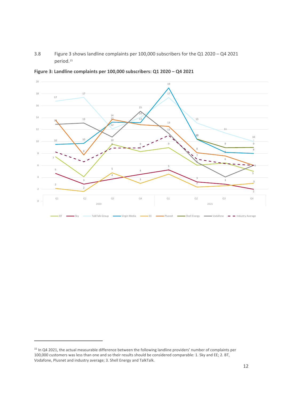3.8 Figure 3 shows landline complaints per 100,000 subscribers for the Q1 2020 – Q4 2021 period.[15](#page-11-0)



**Figure 3: Landline complaints per 100,000 subscribers: Q1 2020 – Q4 2021**

<span id="page-11-0"></span><sup>&</sup>lt;sup>15</sup> In Q4 2021, the actual measurable difference between the following landline providers' number of complaints per 100,000 customers was less than one and so their results should be considered comparable: 1. Sky and EE; 2. BT, Vodafone, Plusnet and industry average; 3. Shell Energy and TalkTalk.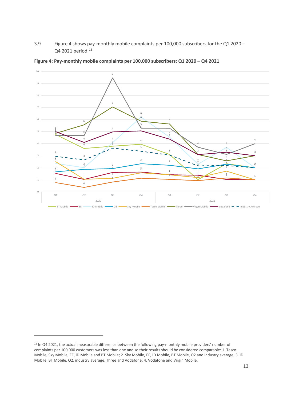3.9 Figure 4 shows pay-monthly mobile complaints per 100,000 subscribers for the Q1 2020 – Q4 2021 period.<sup>[16](#page-12-0)</sup>



**Figure 4: Pay-monthly mobile complaints per 100,000 subscribers: Q1 2020 – Q4 2021** 

<span id="page-12-0"></span><sup>&</sup>lt;sup>16</sup> In Q4 2021, the actual measurable difference between the following pay-monthly mobile providers' number of complaints per 100,000 customers was less than one and so their results should be considered comparable: 1. Tesco Mobile, Sky Mobile, EE, iD Mobile and BT Mobile; 2. Sky Mobile, EE, iD Mobile, BT Mobile, O2 and industry average; 3. iD Mobile, BT Mobile, O2, industry average, Three and Vodafone; 4. Vodafone and Virgin Mobile.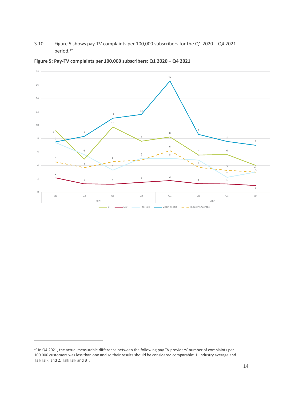3.10 Figure 5 shows pay-TV complaints per 100,000 subscribers for the Q1 2020 – Q4 2021 period.[17](#page-13-0)



**Figure 5: Pay-TV complaints per 100,000 subscribers: Q1 2020 – Q4 2021** 

<span id="page-13-0"></span><sup>&</sup>lt;sup>17</sup> In Q4 2021, the actual measurable difference between the following pay TV providers' number of complaints per 100,000 customers was less than one and so their results should be considered comparable: 1. Industry average and TalkTalk; and 2. TalkTalk and BT.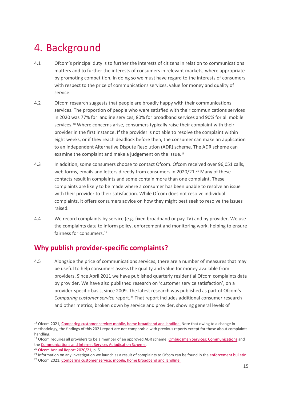# <span id="page-14-0"></span>4. Background

- 4.1 Ofcom's principal duty is to further the interests of citizens in relation to communications matters and to further the interests of consumers in relevant markets, where appropriate by promoting competition. In doing so we must have regard to the interests of consumers with respect to the price of communications services, value for money and quality of service.
- 4.2 Ofcom research suggests that people are broadly happy with their communications services. The proportion of people who were satisfied with their communications services in 2020 was 77% for landline services, 80% for broadband services and 90% for all mobile services.[18](#page-14-1) Where concerns arise, consumers typically raise their complaint with their provider in the first instance. If the provider is not able to resolve the complaint within eight weeks, or if they reach deadlock before then, the consumer can make an application to an independent Alternative Dispute Resolution (ADR) scheme. The ADR scheme can examine the complaint and make a judgement on the issue.<sup>[19](#page-14-2)</sup>
- 4.3 In addition, some consumers choose to contact Ofcom. Ofcom received over 96,051 calls, web forms, emails and letters directly from consumers in [20](#page-14-3)20/21.<sup>20</sup> Many of these contacts result in complaints and some contain more than one complaint. These complaints are likely to be made where a consumer has been unable to resolve an issue with their provider to their satisfaction. While Ofcom does not resolve individual complaints, it offers consumers advice on how they might best seek to resolve the issues raised.
- 4.4 We record complaints by service (e.g. fixed broadband or pay TV) and by provider. We use the complaints data to inform policy, enforcement and monitoring work, helping to ensure fairness for consumers.<sup>[21](#page-14-4)</sup>

# **Why publish provider-specific complaints?**

4.5 Alongside the price of communications services, there are a number of measures that may be useful to help consumers assess the quality and value for money available from providers. Since April 2011 we have published quarterly residential Ofcom complaints data by provider. We have also published research on 'customer service satisfaction', on a provider-specific basis, since 2009. The latest research was published as part of Ofcom's *Comparing customer service* report.[22](#page-14-5) That report includes additional consumer research and other metrics, broken down by service and provider, showing general levels of

<span id="page-14-1"></span><sup>&</sup>lt;sup>18</sup> Ofcom 2021[, Comparing customer service: mobile, home broadband and landline.](https://www.ofcom.org.uk/__data/assets/pdf_file/0027/218655/comparing-service-quality-2020.pdf) Note that owing to a change in methodology, the findings of this 2021 report are not comparable with previous reports except for those about complaints handling.<br><sup>19</sup> Ofcom requires all providers to be a member of an approved ADR scheme: <u>Ombudsman Services: Communications</u> and

<span id="page-14-2"></span>the Communications and Internet Services Adjudication Scheme.<br>
<sup>20</sup> [Ofcom Annual Report 2020/21,](https://www.ofcom.org.uk/__data/assets/pdf_file/0025/221686/annual-report-2020-21.pdf) p. 51.<br>
<sup>21</sup> Information on any investigation we launch as a result of complaints to Ofcom can be found in the <u>enforcement b</u>

<span id="page-14-3"></span>

<span id="page-14-4"></span>

<span id="page-14-5"></span>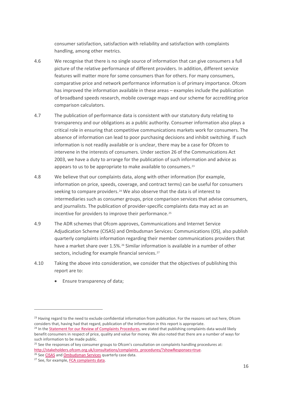consumer satisfaction, satisfaction with reliability and satisfaction with complaints handling, among other metrics.

- 4.6 We recognise that there is no single source of information that can give consumers a full picture of the relative performance of different providers. In addition, different service features will matter more for some consumers than for others. For many consumers, comparative price and network performance information is of primary importance. Ofcom has improved the information available in these areas – examples include the publication of broadband speeds research, mobile coverage maps and our scheme for accrediting price comparison calculators.
- 4.7 The publication of performance data is consistent with our statutory duty relating to transparency and our obligations as a public authority. Consumer information also plays a critical role in ensuring that competitive communications markets work for consumers. The absence of information can lead to poor purchasing decisions and inhibit switching. If such information is not readily available or is unclear, there may be a case for Ofcom to intervene in the interests of consumers. Under section 26 of the Communications Act 2003, we have a duty to arrange for the publication of such information and advice as appears to us to be appropriate to make available to consumers.<sup>[23](#page-15-0)</sup>
- 4.8 We believe that our complaints data, along with other information (for example, information on price, speeds, coverage, and contract terms) can be useful for consumers seeking to compare providers.<sup>[24](#page-15-1)</sup> We also observe that the data is of interest to intermediaries such as consumer groups, price comparison services that advise consumers, and journalists. The publication of provider-specific complaints data may act as an incentive for providers to improve their performance.<sup>[25](#page-15-2)</sup>
- 4.9 The ADR schemes that Ofcom approves, Communications and Internet Service Adjudication Scheme (CISAS) and Ombudsman Services: Communications (OS), also publish quarterly complaints information regarding their member communications providers that have a market share over 1.5%.<sup>[26](#page-15-3)</sup> Similar information is available in a number of other sectors, including for example financial services.<sup>[27](#page-15-4)</sup>
- 4.10 Taking the above into consideration, we consider that the objectives of publishing this report are to:
	- Ensure transparency of data;

<span id="page-15-0"></span><sup>&</sup>lt;sup>23</sup> Having regard to the need to exclude confidential information from publication. For the reasons set out here, Ofcom considers that, having had that regard, publication of the information in this report is appropriate.

<span id="page-15-1"></span><sup>&</sup>lt;sup>24</sup> In the **Statement for our Review of Complaints Procedures**, we stated that publishing complaints data would likely benefit consumers in respect of price, quality and value for money. We also noted that there are a number of ways for such information to be made public.

<span id="page-15-2"></span><sup>&</sup>lt;sup>25</sup> See the responses of key consumer groups to Ofcom's consultation on complaints handling procedures at: [http://stakeholders.ofcom.org.uk/consultations/complaints\\_procedures/?showResponses=true.](http://stakeholders.ofcom.org.uk/consultations/complaints_procedures/?showResponses=true) <sup>26</sup> Se[e CISAS](https://www.cedr.com/consumer/cisas/reports-2/) and Ombudsman Services quarterly case data. <sup>27</sup> See, for example, FCA complaints data.

<span id="page-15-3"></span>

<span id="page-15-4"></span>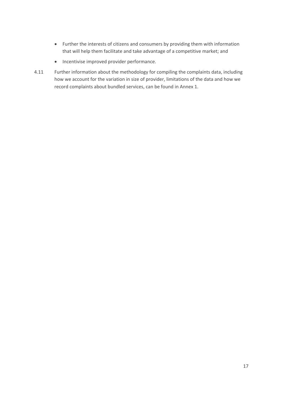- Further the interests of citizens and consumers by providing them with information that will help them facilitate and take advantage of a competitive market; and
- Incentivise improved provider performance.
- 4.11 Further information about the methodology for compiling the complaints data, including how we account for the variation in size of provider, limitations of the data and how we record complaints about bundled services, can be found in Annex 1.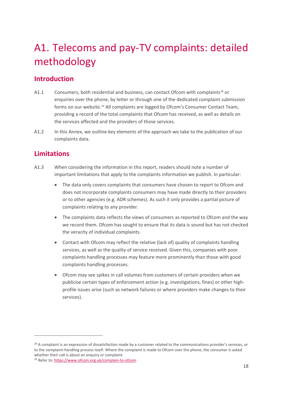# <span id="page-17-0"></span>A1. Telecoms and pay-TV complaints: detailed methodology

# **Introduction**

- A1.1 Consumers, both residential and business, can contact Ofcom with complaints<sup>[28](#page-17-1)</sup> or enquiries over the phone, by letter or through one of the dedicated complaint submission forms on our website.[29](#page-17-2) All complaints are logged by Ofcom's Consumer Contact Team, providing a record of the total complaints that Ofcom has received, as well as details on the services affected and the providers of those services.
- A1.2 In this Annex, we outline key elements of the approach we take to the publication of our complaints data.

# **Limitations**

- A1.3 When considering the information in this report, readers should note a number of important limitations that apply to the complaints information we publish. In particular:
	- The data only covers complaints that consumers have chosen to report to Ofcom and does not incorporate complaints consumers may have made directly to their providers or to other agencies (e.g. ADR schemes). As such it only provides a partial picture of complaints relating to any provider.
	- The complaints data reflects the views of consumers as reported to Ofcom and the way we record them. Ofcom has sought to ensure that its data is sound but has not checked the veracity of individual complaints.
	- Contact with Ofcom may reflect the relative (lack of) quality of complaints handling services, as well as the quality of service received. Given this, companies with poor complaints handling processes may feature more prominently than those with good complaints handling processes.
	- Ofcom may see spikes in call volumes from customers of certain providers when we publicise certain types of enforcement action (e.g. investigations, fines) or other highprofile issues arise (such as network failures or where providers make changes to their services).

<span id="page-17-1"></span><sup>&</sup>lt;sup>28</sup> A complaint is an expression of dissatisfaction made by a customer related to the communications provider's services, or to the complaint-handling process itself. Where the complaint is made to Ofcom over the phone, the consumer is asked whether their call is about an enquiry or complaint.

<span id="page-17-2"></span><sup>29</sup> Refer to[: https://www.ofcom.org.uk/complain-to-ofcom.](https://www.ofcom.org.uk/complain-to-ofcom)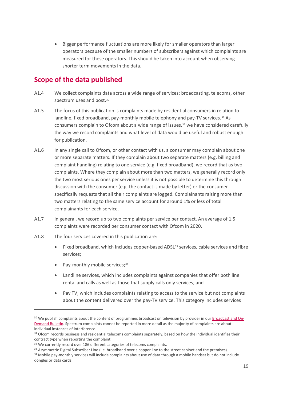• Bigger performance fluctuations are more likely for smaller operators than larger operators because of the smaller numbers of subscribers against which complaints are measured for these operators. This should be taken into account when observing shorter term movements in the data.

### **Scope of the data published**

- A1.4 We collect complaints data across a wide range of services: broadcasting, telecoms, other spectrum uses and post.<sup>[30](#page-18-0)</sup>
- A1.5 The focus of this publication is complaints made by residential consumers in relation to landline, fixed broadband, pay-monthly mobile telephony and pay-TV services.<sup>[31](#page-18-1)</sup> As consumers complain to Ofcom about a wide range of issues, $32$  we have considered carefully the way we record complaints and what level of data would be useful and robust enough for publication.
- A1.6 In any single call to Ofcom, or other contact with us, a consumer may complain about one or more separate matters. If they complain about two separate matters (e.g. billing and complaint handling) relating to one service (e.g. fixed broadband), we record that as two complaints. Where they complain about more than two matters, we generally record only the two most serious ones per service unless it is not possible to determine this through discussion with the consumer (e.g. the contact is made by letter) or the consumer specifically requests that all their complaints are logged. Complainants raising more than two matters relating to the same service account for around 1% or less of total complainants for each service.
- A1.7 In general, we record up to two complaints per service per contact. An average of 1.5 complaints were recorded per consumer contact with Ofcom in 2020.
- A1.8 The four services covered in this publication are:
	- Fixed broadband, which includes copper-based ADSL<sup>[33](#page-18-3)</sup> services, cable services and fibre services;
	- Pay-monthly mobile services; $34$
	- Landline services, which includes complaints against companies that offer both line rental and calls as well as those that supply calls only services; and
	- Pay TV, which includes complaints relating to access to the service but not complaints about the content delivered over the pay-TV service. This category includes services

<span id="page-18-0"></span> $30$  We publish complaints about the content of programmes broadcast on television by provider in ou[r Broadcast and On-](https://www.ofcom.org.uk/about-ofcom/latest/bulletins/broadcast-bulletins)[Demand Bulletin.](https://www.ofcom.org.uk/about-ofcom/latest/bulletins/broadcast-bulletins) Spectrum complaints cannot be reported in more detail as the majority of complaints are about individual instances of interference.

<span id="page-18-1"></span><sup>&</sup>lt;sup>31</sup> Ofcom records business and residential telecoms complaints separately, based on how the individual identifies their contract type when reporting the complaint.<br><sup>32</sup> We currently record over 186 different categories of telecoms complaints.

<span id="page-18-4"></span><span id="page-18-3"></span><span id="page-18-2"></span><sup>&</sup>lt;sup>33</sup> Asymmetric Digital Subscriber Line (i.e. broadband over a copper line to the street cabinet and the premises).<br><sup>34</sup> Mobile pay-monthly services will include complaints about use of data through a mobile handset but do dongles or data cards.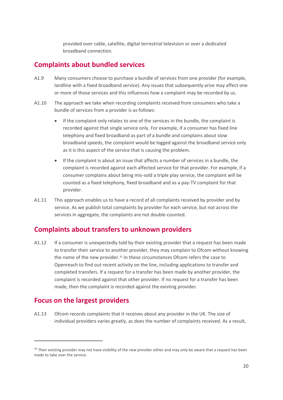provided over cable, satellite, digital terrestrial television or over a dedicated broadband connection.

#### **Complaints about bundled services**

- A1.9 Many consumers choose to purchase a bundle of services from one provider (for example, landline with a fixed broadband service). Any issues that subsequently arise may affect one or more of those services and this influences how a complaint may be recorded by us.
- A1.10 The approach we take when recording complaints received from consumers who take a bundle of services from a provider is as follows:
	- If the complaint only relates to one of the services in the bundle, the complaint is recorded against that single service only. For example, if a consumer has fixed line telephony and fixed broadband as part of a bundle and complains about slow broadband speeds, the complaint would be logged against the broadband service only as it is this aspect of the service that is causing the problem.
	- If the complaint is about an issue that affects a number of services in a bundle, the complaint is recorded against each affected service for that provider. For example, if a consumer complains about being mis-sold a triple play service, the complaint will be counted as a fixed telephony, fixed broadband and as a pay-TV complaint for that provider.
- A1.11 This approach enables us to have a record of all complaints received by provider and by service. As we publish total complaints by provider for each service, but not across the services in aggregate, the complaints are not double-counted.

#### **Complaints about transfers to unknown providers**

A1.12 If a consumer is unexpectedly told by their existing provider that a request has been made to transfer their service to another provider, they may complain to Ofcom without knowing the name of the new provider.<sup>[35](#page-19-0)</sup> In these circumstances Ofcom refers the case to Openreach to find out recent activity on the line, including applications to transfer and completed transfers. If a request for a transfer has been made by another provider, the complaint is recorded against that other provider. If no request for a transfer has been made, then the complaint is recorded against the existing provider.

#### **Focus on the largest providers**

A1.13 Ofcom records complaints that it receives about any provider in the UK. The size of individual providers varies greatly, as does the number of complaints received. As a result,

<span id="page-19-0"></span><sup>&</sup>lt;sup>35</sup> Their existing provider may not have visibility of the new provider either and may only be aware that a request has been made to take over the service.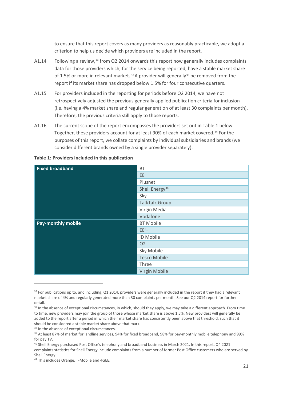to ensure that this report covers as many providers as reasonably practicable, we adopt a criterion to help us decide which providers are included in the report.

- A1.14 Following a review,<sup>[36](#page-20-0)</sup> from Q2 2014 onwards this report now generally includes complaints data for those providers which, for the service being reported, have a stable market share of 1.5% or more in relevant market.  $37A$  $37A$  provider will generally  $38$  be removed from the report if its market share has dropped below 1.5% for four consecutive quarters.
- A1.15 For providers included in the reporting for periods before Q2 2014, we have not retrospectively adjusted the previous generally applied publication criteria for inclusion (i.e. having a 4% market share and regular generation of at least 30 complaints per month). Therefore, the previous criteria still apply to those reports.
- A1.16 The current scope of the report encompasses the providers set out in Table 1 below. Together, these providers account for at least 90% of each market covered.[39](#page-20-3) For the purposes of this report, we collate complaints by individual subsidiaries and brands (we consider different brands owned by a single provider separately).

| <b>Fixed broadband</b>    | <b>BT</b>                  |
|---------------------------|----------------------------|
|                           | <b>EE</b>                  |
|                           | Plusnet                    |
|                           | Shell Energy <sup>40</sup> |
|                           | Sky                        |
|                           | <b>TalkTalk Group</b>      |
|                           | Virgin Media               |
|                           | Vodafone                   |
| <b>Pay-monthly mobile</b> | <b>BT Mobile</b>           |
|                           | EE <sup>41</sup>           |
|                           | iD Mobile                  |
|                           | O <sub>2</sub>             |
|                           | Sky Mobile                 |
|                           | <b>Tesco Mobile</b>        |
|                           | Three                      |
|                           | Virgin Mobile              |

**Table 1: Providers included in this publication**

<span id="page-20-0"></span> $36$  For publications up to, and including, Q1 2014, providers were generally included in the report if they had a relevant market share of 4% and regularly generated more than 30 complaints per month. See our Q2 2014 report for further detail.

<span id="page-20-1"></span><sup>&</sup>lt;sup>37</sup> In the absence of exceptional circumstances, in which, should they apply, we may take a different approach. From time to time, new providers may join the group of those whose market share is above 1.5%. New providers will generally be added to the report after a period in which their market share has consistently been above that threshold, such that it should be considered a stable market share above that mark.<br><sup>38</sup> In the absence of exceptional circumstances.<br><sup>39</sup> At least 87% of market for landline services, 94% for fixed broadband, 98% for pay-monthly mobile telephony

<span id="page-20-3"></span><span id="page-20-2"></span>for pay TV.

<span id="page-20-4"></span><sup>&</sup>lt;sup>40</sup> Shell Energy purchased Post Office's telephony and broadband business in March 2021. In this report, Q4 2021 complaints statistics for Shell Energy include complaints from a number of former Post Office customers who are served by Shell Energy.

<span id="page-20-5"></span><sup>&</sup>lt;sup>41</sup> This includes Orange, T-Mobile and 4GEE.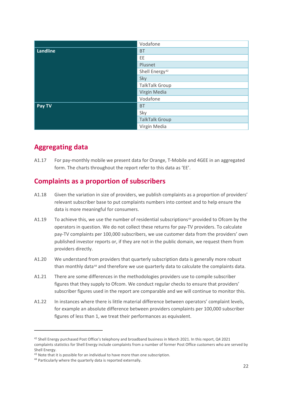|          | Vodafone                   |
|----------|----------------------------|
| Landline | <b>BT</b>                  |
|          | EE                         |
|          | Plusnet                    |
|          | Shell Energy <sup>42</sup> |
|          | Sky                        |
|          | <b>TalkTalk Group</b>      |
|          | Virgin Media               |
|          | Vodafone                   |
| Pay TV   | <b>BT</b>                  |
|          | Sky                        |
|          | <b>TalkTalk Group</b>      |
|          | Virgin Media               |

# **Aggregating data**

A1.17 For pay-monthly mobile we present data for Orange, T-Mobile and 4GEE in an aggregated form. The charts throughout the report refer to this data as 'EE'.

# **Complaints as a proportion of subscribers**

- A1.18 Given the variation in size of providers, we publish complaints as a proportion of providers' relevant subscriber base to put complaints numbers into context and to help ensure the data is more meaningful for consumers.
- A1.19 To achieve this, we use the number of residential subscriptions<sup>[43](#page-21-1)</sup> provided to Ofcom by the operators in question. We do not collect these returns for pay-TV providers. To calculate pay-TV complaints per 100,000 subscribers, we use customer data from the providers' own published investor reports or, if they are not in the public domain, we request them from providers directly.
- A1.20 We understand from providers that quarterly subscription data is generally more robust than monthly data<sup>[44](#page-21-2)</sup> and therefore we use quarterly data to calculate the complaints data.
- A1.21 There are some differences in the methodologies providers use to compile subscriber figures that they supply to Ofcom. We conduct regular checks to ensure that providers' subscriber figures used in the report are comparable and we will continue to monitor this.
- A1.22 In instances where there is little material difference between operators' complaint levels, for example an absolute difference between providers complaints per 100,000 subscriber figures of less than 1, we treat their performances as equivalent.

<span id="page-21-0"></span><sup>42</sup> Shell Energy purchased Post Office's telephony and broadband business in March 2021. In this report, Q4 2021 complaints statistics for Shell Energy include complaints from a number of former Post Office customers who are served by Shell Energy.

<span id="page-21-2"></span><span id="page-21-1"></span><sup>&</sup>lt;sup>43</sup> Note that it is possible for an individual to have more than one subscription.<br><sup>44</sup> Particularly where the quarterly data is reported externally.